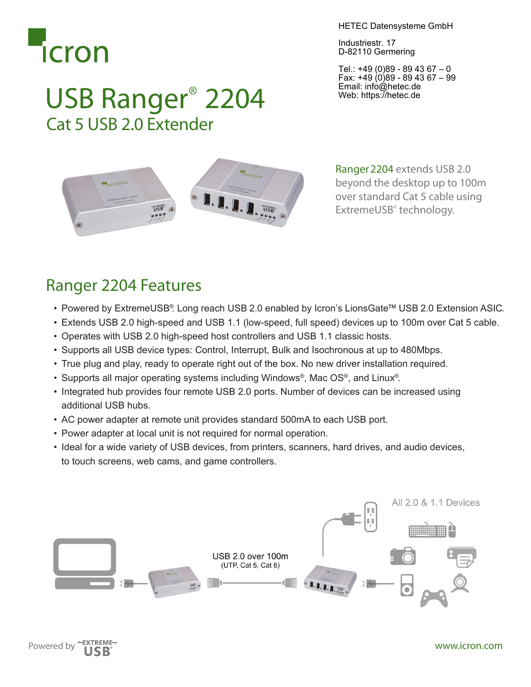

HETEC Datensysteme GmbH

Industriestr. 17 D-82110 Germering

Tel.: +49 (0)89 - 89 43 67 – 0 Fax: +49 (0)89 - 89 43 67 – 99 Email: info@hetec.de Web: https://hetec.de



USB Ranger® 2204

Cat 5 USB 2.0 Extender

Ranger2204 extends USB 2.0 beyond the desktop up to 100m over standard Cat 5 cable using ExtremeUSB® technology.

## Ranger 2204 Features

- Powered by ExtremeUSB® Long reach USB 2.0 enabled by Icron's LionsGate™ USB 2.0 Extension ASIC.
- • Extends USB 2.0 high-speed and USB 1.1 (low-speed, full speed) devices up to 100m over Cat 5 cable.
- • Operates with USB 2.0 high-speed host controllers and USB 1.1 classic hosts.
- • Supports all USB device types: Control, Interrupt, Bulk and Isochronous at up to 480Mbps.
- • True plug and play, ready to operate right out of the box. No new driver installation required.
- Supports all major operating systems including Windows<sup>®</sup>, Mac  $OS^{\circ}$ , and Linux<sup>®</sup>.
- Integrated hub provides four remote USB 2.0 ports. Number of devices can be increased using additional USB hubs.
- AC power adapter at remote unit provides standard 500mA to each USB port.
- Power adapter at local unit is not required for normal operation.
- Ideal for a wide variety of USB devices, from printers, scanners, hard drives, and audio devices, to touch screens, web cams, and game controllers.